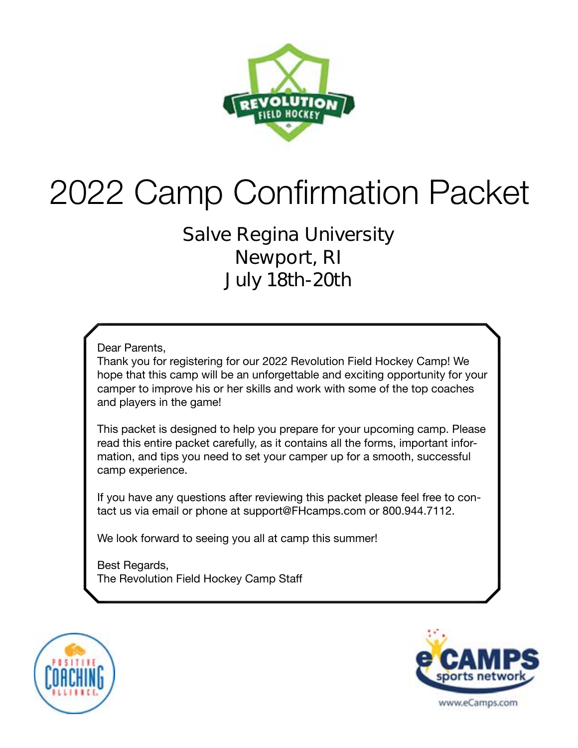

# 2022 Camp Confirmation Packet

### **Salve Regina University Newport, RI July 18th-20th**

Dear Parents,

Thank you for registering for our 2022 Revolution Field Hockey Camp! We hope that this camp will be an unforgettable and exciting opportunity for your camper to improve his or her skills and work with some of the top coaches and players in the game!

This packet is designed to help you prepare for your upcoming camp. Please read this entire packet carefully, as it contains all the forms, important information, and tips you need to set your camper up for a smooth, successful camp experience.

If you have any questions after reviewing this packet please feel free to contact us via email or phone at support@FHcamps.com or 800.944.7112.

We look forward to seeing you all at camp this summer!

Best Regards, The Revolution Field Hockey Camp Staff



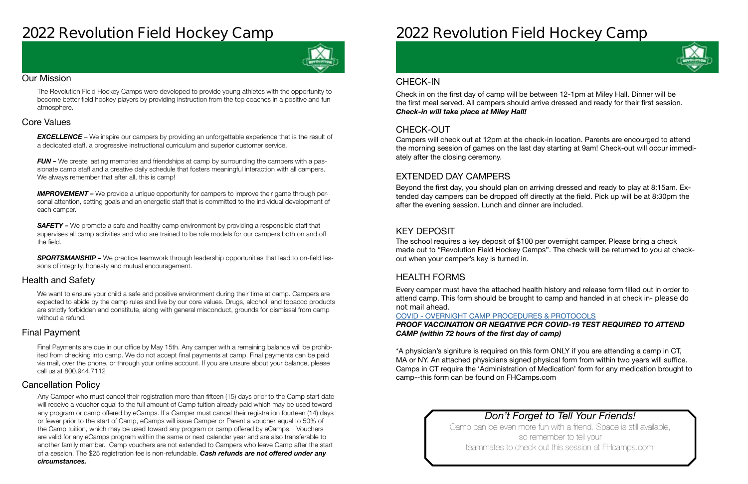### **2022 Revolution Field Hockey Camp**



#### Our Mission

The Revolution Field Hockey Camps were developed to provide young athletes with the opportunity to become better field hockey players by providing instruction from the top coaches in a positive and fun atmosphere.

#### Health and Safety

We want to ensure your child a safe and positive environment during their time at camp. Campers are expected to abide by the camp rules and live by our core values. Drugs, alcohol and tobacco products are strictly forbidden and constitute, along with general misconduct, grounds for dismissal from camp without a refund.

#### Cancellation Policy

#### Final Payment

**EXCELLENCE** – We inspire our campers by providing an unforgettable experience that is the result of a dedicated staff, a progressive instructional curriculum and superior customer service.

*FUN –* We create lasting memories and friendships at camp by surrounding the campers with a passionate camp staff and a creative daily schedule that fosters meaningful interaction with all campers. We always remember that after all, this is camp!

#### Core Values

**IMPROVEMENT** – We provide a unique opportunity for campers to improve their game through personal attention, setting goals and an energetic staff that is committed to the individual development of each camper.

**SAFETY** – We promote a safe and healthy camp environment by providing a responsible staff that supervises all camp activities and who are trained to be role models for our campers both on and off the field.

**SPORTSMANSHIP –** We practice teamwork through leadership opportunities that lead to on-field lessons of integrity, honesty and mutual encouragement.

Final Payments are due in our office by May 15th. Any camper with a remaining balance will be prohibited from checking into camp. We do not accept final payments at camp. Final payments can be paid via mail, over the phone, or through your online account. If you are unsure about your balance, please call us at 800.944.7112

Any Camper who must cancel their registration more than fifteen (15) days prior to the Camp start date will receive a voucher equal to the full amount of Camp tuition already paid which may be used toward any program or camp offered by eCamps. If a Camper must cancel their registration fourteen (14) days or fewer prior to the start of Camp, eCamps will issue Camper or Parent a voucher equal to 50% of the Camp tuition, which may be used toward any program or camp offered by eCamps. Vouchers are valid for any eCamps program within the same or next calendar year and are also transferable to another family member. Camp vouchers are not extended to Campers who leave Camp after the start of a session. The \$25 registration fee is non-refundable. *Cash refunds are not offered under any circumstances.*

## **2022 Revolution Field Hockey Camp**

#### *Don't Forget to Tell Your Friends!*

Camp can be even more fun with a friend. Space is still available, so remember to tell your teammates to check out this session at FHcamps.com!



#### CHECK-OUT

#### EXTENDED DAY CAMPERS

#### KEY DEPOSIT

#### HEALTH FORMS

Campers will check out at 12pm at the check-in location. Parents are encourged to attend the morning session of games on the last day starting at 9am! Check-out will occur immediately after the closing ceremony.

Beyond the first day, you should plan on arriving dressed and ready to play at 8:15am. Extended day campers can be dropped off directly at the field. Pick up will be at 8:30pm the after the evening session. Lunch and dinner are included.

The school requires a key deposit of \$100 per overnight camper. Please bring a check made out to "Revolution Field Hockey Camps". The check will be returned to you at checkout when your camper's key is turned in.

Every camper must have the attached health history and release form filled out in order to attend camp. This form should be brought to camp and handed in at check in- **please do not mail ahead**.

#### COVID - [OVERNIGHT CAMP PROCEDURES & PROTOCOLS](https://laxcamps.com/wp-content/uploads/COVID-19-eCamps-Sports-Network-Guidlines-Overnight-Camp.pdf) *PROOF VACCINATION OR NEGATIVE PCR COVID-19 TEST REQUIRED TO ATTEND CAMP (within 72 hours of the first day of camp)*

\*A physician's signiture is required on this form ONLY if you are attending a camp in CT, MA or NY. An attached physicians signed physical form from within two years will suffice. Camps in CT require the 'Administration of Medication' form for any medication brought to camp--this form can be found on FHCamps.com

#### CHECK-IN

Check in on the first day of camp will be between 12-1pm at Miley Hall. Dinner will be the first meal served. All campers should arrive dressed and ready for their first session. *Check-in will take place at Miley Hall!*